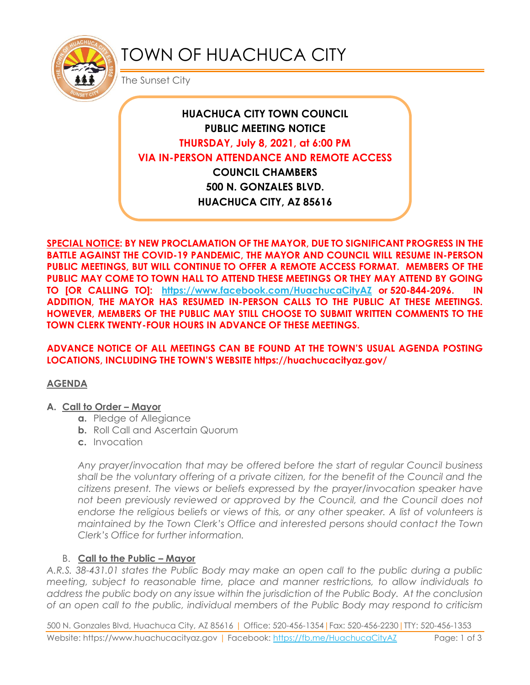

# TOWN OF HUACHUCA CITY

The Sunset City

# **HUACHUCA CITY TOWN COUNCIL PUBLIC MEETING NOTICE THURSDAY, July 8, 2021, at 6:00 PM VIA IN-PERSON ATTENDANCE AND REMOTE ACCESS COUNCIL CHAMBERS 500 N. GONZALES BLVD.**

**HUACHUCA CITY, AZ 85616**

**SPECIAL NOTICE: BY NEW PROCLAMATION OF THE MAYOR, DUE TO SIGNIFICANT PROGRESS IN THE BATTLE AGAINST THE COVID-19 PANDEMIC, THE MAYOR AND COUNCIL WILL RESUME IN-PERSON PUBLIC MEETINGS, BUT WILL CONTINUE TO OFFER A REMOTE ACCESS FORMAT. MEMBERS OF THE PUBLIC MAY COME TO TOWN HALL TO ATTEND THESE MEETINGS OR THEY MAY ATTEND BY GOING TO [OR CALLING TO]: <https://www.facebook.com/HuachucaCityAZ> or 520-844-2096. IN ADDITION, THE MAYOR HAS RESUMED IN-PERSON CALLS TO THE PUBLIC AT THESE MEETINGS. HOWEVER, MEMBERS OF THE PUBLIC MAY STILL CHOOSE TO SUBMIT WRITTEN COMMENTS TO THE TOWN CLERK TWENTY-FOUR HOURS IN ADVANCE OF THESE MEETINGS.** 

### **ADVANCE NOTICE OF ALL MEETINGS CAN BE FOUND AT THE TOWN'S USUAL AGENDA POSTING LOCATIONS, INCLUDING THE TOWN'S WEBSITE https://huachucacityaz.gov/**

# **AGENDA**

#### **A. Call to Order – Mayor**

- **a.** Pledge of Allegiance
- **b.** Roll Call and Ascertain Quorum
- **c.** Invocation

*Any prayer/invocation that may be offered before the start of regular Council business shall be the voluntary offering of a private citizen, for the benefit of the Council and the citizens present. The views or beliefs expressed by the prayer/invocation speaker have*  not been previously reviewed or approved by the Council, and the Council does not endorse the religious beliefs or views of this, or any other speaker. A list of volunteers is *maintained by the Town Clerk's Office and interested persons should contact the Town Clerk's Office for further information.*

# B. **Call to the Public – Mayor**

*A.R.S. 38-431.01 states the Public Body may make an open call to the public during a public meeting, subject to reasonable time, place and manner restrictions, to allow individuals to address the public body on any issue within the jurisdiction of the Public Body. At the conclusion of an open call to the public, individual members of the Public Body may respond to criticism* 

500 N. Gonzales Blvd, Huachuca City, AZ 85616 | Office: 520-456-1354|Fax: 520-456-2230|TTY: 520-456-1353 Website: https://www.huachucacityaz.gov | Facebook:<https://fb.me/HuachucaCityAZ> Page: 1 of 3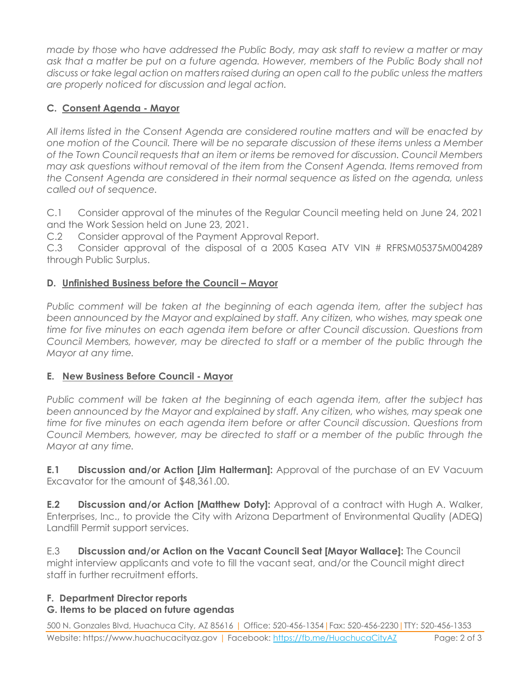*made by those who have addressed the Public Body, may ask staff to review a matter or may ask that a matter be put on a future agenda. However, members of the Public Body shall not discuss or take legal action on matters raised during an open call to the public unless the matters are properly noticed for discussion and legal action.*

# **C. Consent Agenda - Mayor**

*All items listed in the Consent Agenda are considered routine matters and will be enacted by one motion of the Council. There will be no separate discussion of these items unless a Member of the Town Council requests that an item or items be removed for discussion. Council Members may ask questions without removal of the item from the Consent Agenda. Items removed from the Consent Agenda are considered in their normal sequence as listed on the agenda, unless called out of sequence.*

C.1 Consider approval of the minutes of the Regular Council meeting held on June 24, 2021 and the Work Session held on June 23, 2021.

C.2 Consider approval of the Payment Approval Report.

C.3 Consider approval of the disposal of a 2005 Kasea ATV VIN # RFRSM05375M004289 through Public Surplus.

### **D. Unfinished Business before the Council – Mayor**

*Public comment will be taken at the beginning of each agenda item, after the subject has been announced by the Mayor and explained by staff. Any citizen, who wishes, may speak one time for five minutes on each agenda item before or after Council discussion. Questions from Council Members, however, may be directed to staff or a member of the public through the Mayor at any time.*

#### **E. New Business Before Council - Mayor**

*Public comment will be taken at the beginning of each agenda item, after the subject has been announced by the Mayor and explained by staff. Any citizen, who wishes, may speak one time for five minutes on each agenda item before or after Council discussion. Questions from Council Members, however, may be directed to staff or a member of the public through the Mayor at any time.* 

**E.1 Discussion and/or Action [Jim Halterman]:** Approval of the purchase of an EV Vacuum Excavator for the amount of \$48,361.00.

**E.2 Discussion and/or Action [Matthew Doty]:** Approval of a contract with Hugh A. Walker, Enterprises, Inc., to provide the City with Arizona Department of Environmental Quality (ADEQ) Landfill Permit support services.

E.3 **Discussion and/or Action on the Vacant Council Seat [Mayor Wallace]:** The Council might interview applicants and vote to fill the vacant seat, and/or the Council might direct staff in further recruitment efforts.

# **F. Department Director reports**

#### **G. Items to be placed on future agendas**

500 N. Gonzales Blvd, Huachuca City, AZ 85616 | Office: 520-456-1354|Fax: 520-456-2230|TTY: 520-456-1353 Website: https://www.huachucacityaz.gov | Facebook:<https://fb.me/HuachucaCityAZ> Page: 2 of 3